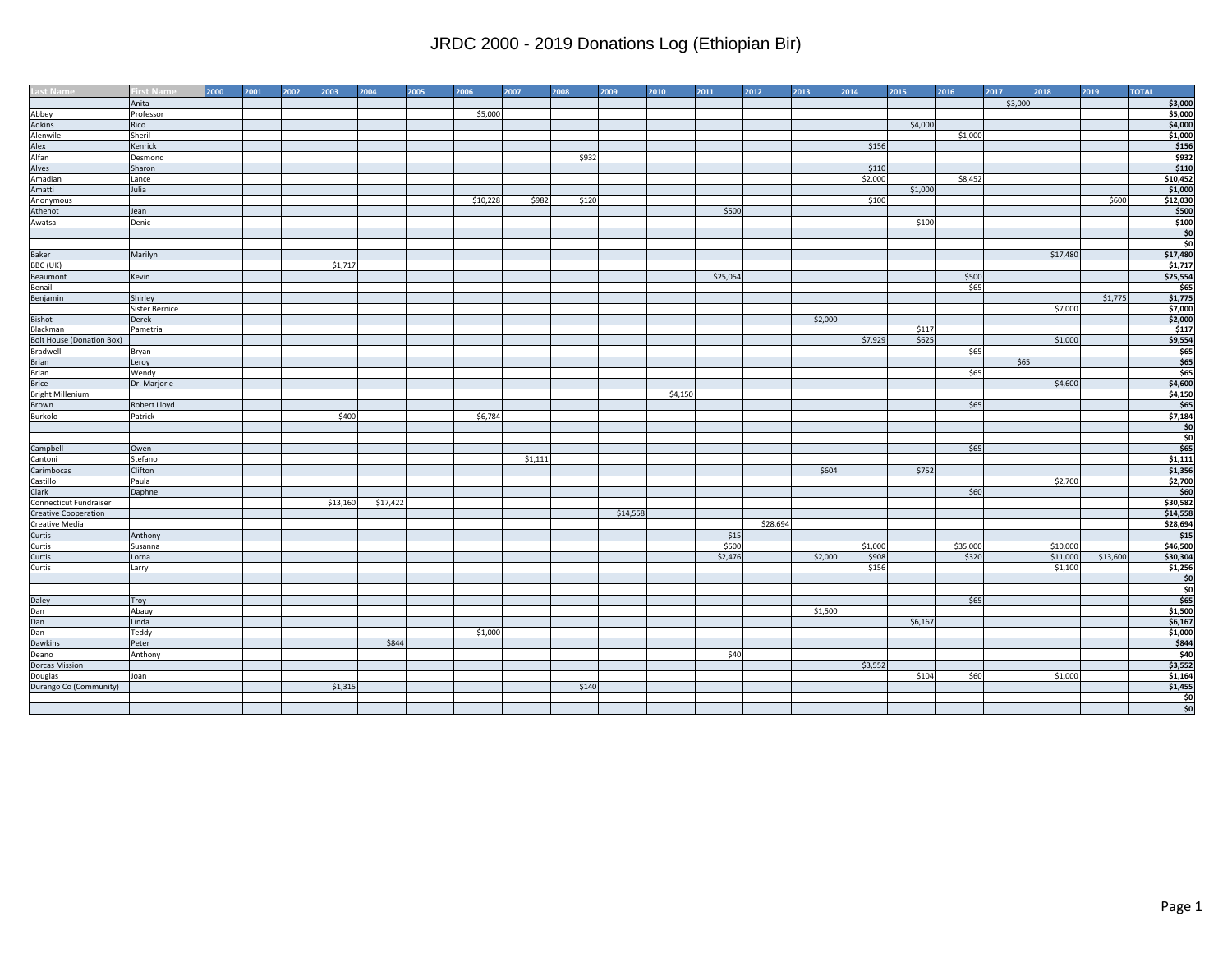| Last Name                        | irst Name      | 2000 | 2001 | 2002 | 2003     | 2004     | 2005 | 2006     | 2007    | 2008  | 2009     | 2010    | 2011     | 2012     | 2013    | 2014    | 2015    | 2016     | 2017    | 2018     | 2019     | <b>TOTAL</b>    |
|----------------------------------|----------------|------|------|------|----------|----------|------|----------|---------|-------|----------|---------|----------|----------|---------|---------|---------|----------|---------|----------|----------|-----------------|
|                                  | Anita          |      |      |      |          |          |      |          |         |       |          |         |          |          |         |         |         |          | \$3,000 |          |          | \$3,000         |
| Abbey                            | Professor      |      |      |      |          |          |      | \$5,000  |         |       |          |         |          |          |         |         |         |          |         |          |          | \$5,000         |
| Adkins                           | Rico           |      |      |      |          |          |      |          |         |       |          |         |          |          |         |         | \$4,000 |          |         |          |          | \$4,000         |
| Alenwile                         | Sheril         |      |      |      |          |          |      |          |         |       |          |         |          |          |         |         |         | \$1,000  |         |          |          | \$1,000         |
| Alex                             | Kenrick        |      |      |      |          |          |      |          |         |       |          |         |          |          |         | \$156   |         |          |         |          |          | \$156           |
| Alfan                            | Desmond        |      |      |      |          |          |      |          |         | \$932 |          |         |          |          |         |         |         |          |         |          |          | \$932           |
| Alves                            | Sharon         |      |      |      |          |          |      |          |         |       |          |         |          |          |         | \$110   |         |          |         |          |          | \$110           |
| Amadian                          | Lance          |      |      |      |          |          |      |          |         |       |          |         |          |          |         | \$2,000 |         | \$8,452  |         |          |          | \$10,452        |
| Amatti                           | Julia          |      |      |      |          |          |      |          |         |       |          |         |          |          |         |         | \$1,000 |          |         |          |          | \$1,000         |
| Anonymous                        |                |      |      |      |          |          |      | \$10,228 | \$982   | \$120 |          |         |          |          |         | \$100   |         |          |         |          | \$600    | \$12,030        |
| Athenot                          | Jean           |      |      |      |          |          |      |          |         |       |          |         | \$500    |          |         |         |         |          |         |          |          | \$500           |
| Awatsa                           | Denic          |      |      |      |          |          |      |          |         |       |          |         |          |          |         |         | \$100   |          |         |          |          | \$100           |
|                                  |                |      |      |      |          |          |      |          |         |       |          |         |          |          |         |         |         |          |         |          |          | $\frac{$0}{$0}$ |
|                                  |                |      |      |      |          |          |      |          |         |       |          |         |          |          |         |         |         |          |         |          |          |                 |
| Baker                            | Marilyn        |      |      |      |          |          |      |          |         |       |          |         |          |          |         |         |         |          |         | \$17,480 |          | \$17,480        |
| BBC (UK)                         |                |      |      |      | \$1,717  |          |      |          |         |       |          |         |          |          |         |         |         |          |         |          |          | \$1,717         |
| Beaumont                         | Kevin          |      |      |      |          |          |      |          |         |       |          |         | \$25,054 |          |         |         |         | \$500    |         |          |          | \$25,554        |
| Benail                           |                |      |      |      |          |          |      |          |         |       |          |         |          |          |         |         |         | \$65     |         |          |          | \$65            |
| Benjamin                         | Shirley        |      |      |      |          |          |      |          |         |       |          |         |          |          |         |         |         |          |         |          | \$1,775  | \$1,775         |
|                                  | Sister Bernice |      |      |      |          |          |      |          |         |       |          |         |          |          |         |         |         |          |         | \$7,000  |          | \$7,000         |
| Bishot                           | Derek          |      |      |      |          |          |      |          |         |       |          |         |          |          | \$2,000 |         |         |          |         |          |          | \$2,000         |
| Blackman                         | Pametria       |      |      |      |          |          |      |          |         |       |          |         |          |          |         |         | \$117   |          |         |          |          | \$117           |
| <b>Bolt House (Donation Box)</b> |                |      |      |      |          |          |      |          |         |       |          |         |          |          |         | \$7,929 | \$625   |          |         | \$1,000  |          | \$9,554         |
| Bradwell                         | Bryan          |      |      |      |          |          |      |          |         |       |          |         |          |          |         |         |         | \$65     |         |          |          | \$65            |
| <b>Brian</b>                     | Leroy          |      |      |      |          |          |      |          |         |       |          |         |          |          |         |         |         |          | \$65    |          |          | \$65            |
| Brian                            | Wendy          |      |      |      |          |          |      |          |         |       |          |         |          |          |         |         |         | \$65     |         |          |          | \$65            |
| Brice<br>Bright Millenium        | Dr. Marjorie   |      |      |      |          |          |      |          |         |       |          |         |          |          |         |         |         |          |         | \$4,600  |          | \$4,600         |
|                                  |                |      |      |      |          |          |      |          |         |       |          | \$4,150 |          |          |         |         |         |          |         |          |          | \$4,150         |
| Brown                            | Robert Lloyd   |      |      |      |          |          |      |          |         |       |          |         |          |          |         |         |         | \$65     |         |          |          | \$65            |
| Burkolo                          | Patrick        |      |      |      | \$400    |          |      | \$6,784  |         |       |          |         |          |          |         |         |         |          |         |          |          | \$7,184         |
|                                  |                |      |      |      |          |          |      |          |         |       |          |         |          |          |         |         |         |          |         |          |          | \$0             |
|                                  |                |      |      |      |          |          |      |          |         |       |          |         |          |          |         |         |         |          |         |          |          | \$0             |
| Campbell                         | Owen           |      |      |      |          |          |      |          |         |       |          |         |          |          |         |         |         | \$65     |         |          |          | \$65            |
| Cantoni                          | Stefano        |      |      |      |          |          |      |          | \$1,111 |       |          |         |          |          |         |         |         |          |         |          |          | \$1,111         |
| Carimbocas                       | Clifton        |      |      |      |          |          |      |          |         |       |          |         |          |          | \$604   |         | \$752   |          |         |          |          | \$1,356         |
| Castillo                         | Paula          |      |      |      |          |          |      |          |         |       |          |         |          |          |         |         |         |          |         | \$2,700  |          | \$2,700         |
| Clark                            | Daphne         |      |      |      |          |          |      |          |         |       |          |         |          |          |         |         |         | \$60     |         |          |          | \$60            |
| Connecticut Fundraiser           |                |      |      |      | \$13,160 | \$17,422 |      |          |         |       |          |         |          |          |         |         |         |          |         |          |          | \$30,582        |
| <b>Creative Cooperation</b>      |                |      |      |      |          |          |      |          |         |       | \$14,558 |         |          |          |         |         |         |          |         |          |          | \$14,558        |
| Creative Media                   |                |      |      |      |          |          |      |          |         |       |          |         |          | \$28,694 |         |         |         |          |         |          |          | \$28,694        |
| Curtis                           | Anthony        |      |      |      |          |          |      |          |         |       |          |         | \$15     |          |         |         |         |          |         |          |          | \$15            |
| Curtis                           | Susanna        |      |      |      |          |          |      |          |         |       |          |         | \$500    |          |         | \$1,000 |         | \$35,000 |         | \$10,000 |          | \$46,500        |
| Curtis                           | Lorna          |      |      |      |          |          |      |          |         |       |          |         | \$2,476  |          | \$2,000 | \$908   |         | \$320    |         | \$11,000 | \$13,600 | \$30,304        |
| Curtis                           | Larry          |      |      |      |          |          |      |          |         |       |          |         |          |          |         | \$156   |         |          |         | \$1,100  |          | \$1,256         |
|                                  |                |      |      |      |          |          |      |          |         |       |          |         |          |          |         |         |         |          |         |          |          | $\frac{1}{20}$  |
|                                  |                |      |      |      |          |          |      |          |         |       |          |         |          |          |         |         |         |          |         |          |          | \$0             |
| Daley<br>Dan                     | Troy           |      |      |      |          |          |      |          |         |       |          |         |          |          |         |         |         | \$65     |         |          |          | \$65            |
|                                  | Abauy          |      |      |      |          |          |      |          |         |       |          |         |          |          | \$1,500 |         |         |          |         |          |          | \$1,500         |
| Dan                              | Linda          |      |      |      |          |          |      |          |         |       |          |         |          |          |         |         | \$6,167 |          |         |          |          | \$6,167         |
| Dan                              | Teddy          |      |      |      |          |          |      | \$1,000  |         |       |          |         |          |          |         |         |         |          |         |          |          | \$1,000         |
| Dawkins                          | Peter          |      |      |      |          | \$844    |      |          |         |       |          |         |          |          |         |         |         |          |         |          |          | \$844           |
| Deano                            | Anthony        |      |      |      |          |          |      |          |         |       |          |         | \$40     |          |         |         |         |          |         |          |          | \$40            |
| <b>Dorcas Mission</b>            |                |      |      |      |          |          |      |          |         |       |          |         |          |          |         | \$3,552 |         |          |         |          |          | \$3,552         |
| Douglas                          | Joan           |      |      |      |          |          |      |          |         |       |          |         |          |          |         |         | \$104   | \$60     |         | \$1,000  |          | \$1,164         |
| Durango Co (Community)           |                |      |      |      | \$1,315  |          |      |          |         | \$140 |          |         |          |          |         |         |         |          |         |          |          | \$1,455         |
|                                  |                |      |      |      |          |          |      |          |         |       |          |         |          |          |         |         |         |          |         |          |          | $\frac{$0}{$0}$ |
|                                  |                |      |      |      |          |          |      |          |         |       |          |         |          |          |         |         |         |          |         |          |          |                 |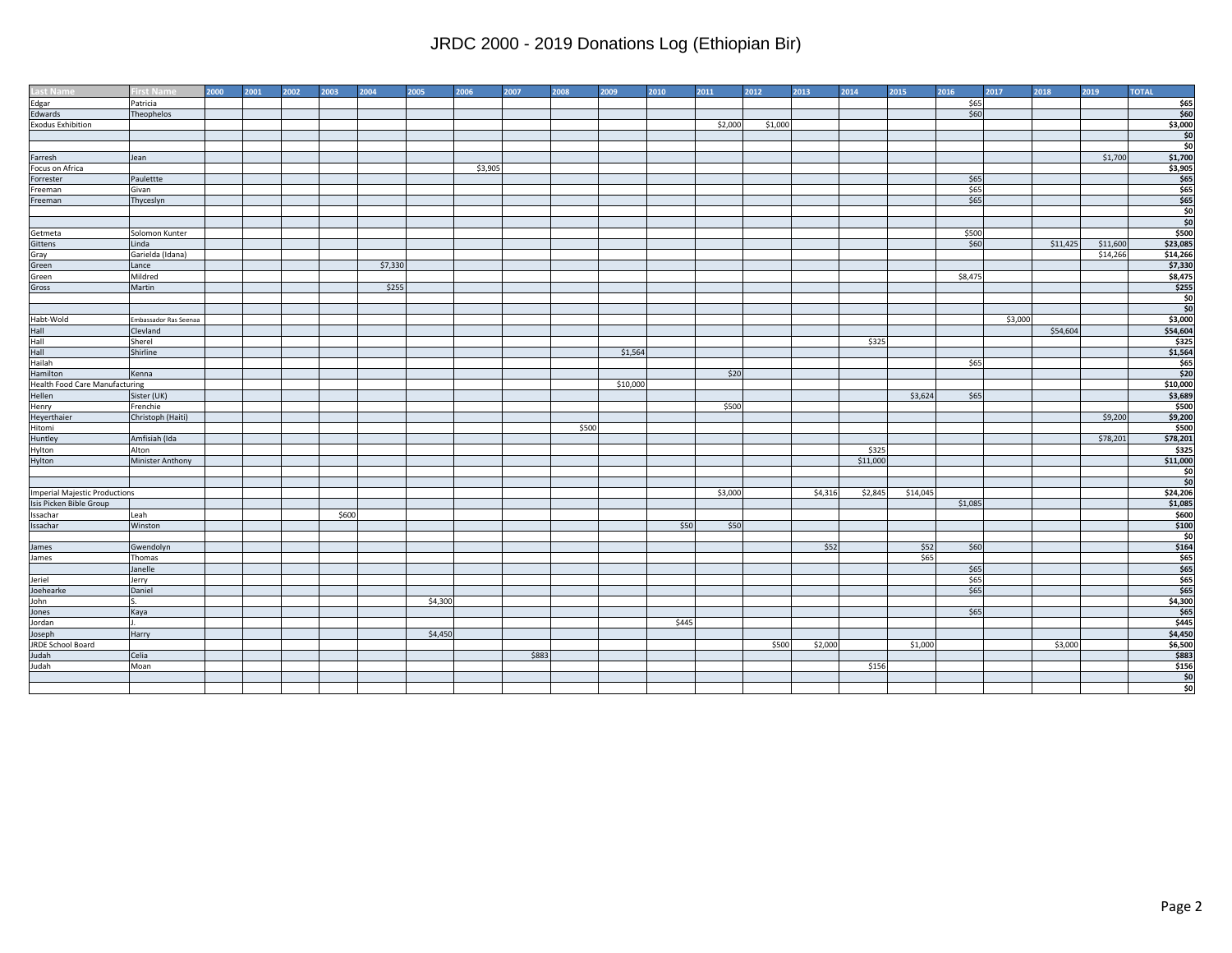| Last Name                                                                                                       | <b>irst Name</b>      | 2000 | 2001 | 2002 | 2003  | 2004    | 2005    | 2006    | 2007  | 2008  | 2009     | 2010  | 2011    | 2012    | 2013    | 2014     | 2015     | 2016    | 2017    | 2018     | 2019     | <b>TOTAL</b>                 |
|-----------------------------------------------------------------------------------------------------------------|-----------------------|------|------|------|-------|---------|---------|---------|-------|-------|----------|-------|---------|---------|---------|----------|----------|---------|---------|----------|----------|------------------------------|
|                                                                                                                 | Patricia              |      |      |      |       |         |         |         |       |       |          |       |         |         |         |          |          | \$65    |         |          |          | \$65                         |
| Edwards                                                                                                         | Theophelos            |      |      |      |       |         |         |         |       |       |          |       |         |         |         |          |          | \$60    |         |          |          | \$60                         |
| <b>Exodus Exhibition</b>                                                                                        |                       |      |      |      |       |         |         |         |       |       |          |       | \$2,000 | \$1,000 |         |          |          |         |         |          |          | \$3,000                      |
|                                                                                                                 |                       |      |      |      |       |         |         |         |       |       |          |       |         |         |         |          |          |         |         |          |          | \$0                          |
|                                                                                                                 |                       |      |      |      |       |         |         |         |       |       |          |       |         |         |         |          |          |         |         |          |          | $\overline{\phantom{1}}$ \$0 |
| Farresh                                                                                                         | Jean                  |      |      |      |       |         |         |         |       |       |          |       |         |         |         |          |          |         |         |          | \$1,700  | \$1,700                      |
| Focus on Africa                                                                                                 |                       |      |      |      |       |         |         | \$3,905 |       |       |          |       |         |         |         |          |          |         |         |          |          | \$3,905                      |
| Forrester                                                                                                       | Paulettte             |      |      |      |       |         |         |         |       |       |          |       |         |         |         |          |          | \$65    |         |          |          | \$65                         |
| Freeman                                                                                                         | Givan                 |      |      |      |       |         |         |         |       |       |          |       |         |         |         |          |          | \$65    |         |          |          | \$65                         |
| Freeman                                                                                                         | Thyceslyn             |      |      |      |       |         |         |         |       |       |          |       |         |         |         |          |          | \$65    |         |          |          | \$65                         |
|                                                                                                                 |                       |      |      |      |       |         |         |         |       |       |          |       |         |         |         |          |          |         |         |          |          | \$0                          |
|                                                                                                                 |                       |      |      |      |       |         |         |         |       |       |          |       |         |         |         |          |          |         |         |          |          | \$0                          |
| Getmeta                                                                                                         | Solomon Kunter        |      |      |      |       |         |         |         |       |       |          |       |         |         |         |          |          | \$500   |         |          |          | \$500                        |
| Gittens                                                                                                         | Linda                 |      |      |      |       |         |         |         |       |       |          |       |         |         |         |          |          | \$60    |         | \$11,425 | \$11,600 | \$23,085                     |
| Gray                                                                                                            | Garielda (Idana)      |      |      |      |       |         |         |         |       |       |          |       |         |         |         |          |          |         |         |          | \$14,266 | \$14,266                     |
| Green                                                                                                           | Lance                 |      |      |      |       | \$7,330 |         |         |       |       |          |       |         |         |         |          |          |         |         |          |          | \$7,330                      |
| Green                                                                                                           | Mildred               |      |      |      |       |         |         |         |       |       |          |       |         |         |         |          |          | \$8,475 |         |          |          | \$8,475                      |
| Gross                                                                                                           | Martin                |      |      |      |       | \$255   |         |         |       |       |          |       |         |         |         |          |          |         |         |          |          | \$255                        |
|                                                                                                                 |                       |      |      |      |       |         |         |         |       |       |          |       |         |         |         |          |          |         |         |          |          | \$0                          |
|                                                                                                                 |                       |      |      |      |       |         |         |         |       |       |          |       |         |         |         |          |          |         |         |          |          | \$0                          |
| Habt-Wold                                                                                                       | Embassador Ras Seenaa |      |      |      |       |         |         |         |       |       |          |       |         |         |         |          |          |         | \$3,000 |          |          | \$3,000                      |
|                                                                                                                 | Clevland              |      |      |      |       |         |         |         |       |       |          |       |         |         |         |          |          |         |         | \$54,604 |          | \$54,604                     |
|                                                                                                                 | Sherel                |      |      |      |       |         |         |         |       |       |          |       |         |         |         | \$325    |          |         |         |          |          | \$325                        |
|                                                                                                                 | Shirline              |      |      |      |       |         |         |         |       |       | \$1,564  |       |         |         |         |          |          |         |         |          |          | \$1,564                      |
| Hall<br>Hall Clevia<br>Hall Shere<br>Hall Shirlin<br>Haliah<br>Hamilton Kenna<br>Health Food Care Manufacturing |                       |      |      |      |       |         |         |         |       |       |          |       |         |         |         |          |          | \$65    |         |          |          | \$65                         |
|                                                                                                                 | Kenna                 |      |      |      |       |         |         |         |       |       |          |       | \$20    |         |         |          |          |         |         |          |          | \$20                         |
|                                                                                                                 |                       |      |      |      |       |         |         |         |       |       | \$10,000 |       |         |         |         |          |          |         |         |          |          | \$10,000                     |
| Hellen                                                                                                          | Sister (UK)           |      |      |      |       |         |         |         |       |       |          |       |         |         |         |          | \$3,624  | \$65    |         |          |          | \$3,689                      |
|                                                                                                                 | Frenchie              |      |      |      |       |         |         |         |       |       |          |       | \$500   |         |         |          |          |         |         |          |          | \$500                        |
| Henry<br>Heyerthaier<br>Hitomi                                                                                  | Christoph (Haiti)     |      |      |      |       |         |         |         |       |       |          |       |         |         |         |          |          |         |         |          | \$9,200  | \$9,200                      |
|                                                                                                                 |                       |      |      |      |       |         |         |         |       | \$500 |          |       |         |         |         |          |          |         |         |          |          | \$500                        |
| Huntley                                                                                                         | Amfisiah (Ida         |      |      |      |       |         |         |         |       |       |          |       |         |         |         |          |          |         |         |          | \$78,201 | \$78,201                     |
| Hylton                                                                                                          | Alton                 |      |      |      |       |         |         |         |       |       |          |       |         |         |         | \$325    |          |         |         |          |          | \$325                        |
| Hylton                                                                                                          | Minister Anthony      |      |      |      |       |         |         |         |       |       |          |       |         |         |         | \$11,000 |          |         |         |          |          | \$11,000                     |
|                                                                                                                 |                       |      |      |      |       |         |         |         |       |       |          |       |         |         |         |          |          |         |         |          |          | \$0                          |
|                                                                                                                 |                       |      |      |      |       |         |         |         |       |       |          |       |         |         |         |          |          |         |         |          |          | $\frac{1}{2}$                |
| <b>Imperial Majestic Productions</b>                                                                            |                       |      |      |      |       |         |         |         |       |       |          |       | \$3,000 |         | \$4,316 | \$2,845  | \$14,045 |         |         |          |          | \$24,206                     |
| Isis Picken Bible Group                                                                                         |                       |      |      |      |       |         |         |         |       |       |          |       |         |         |         |          |          | \$1,085 |         |          |          | \$1,085                      |
| Issachar                                                                                                        | Leah                  |      |      |      | \$600 |         |         |         |       |       |          |       |         |         |         |          |          |         |         |          |          | \$600                        |
| Issachar                                                                                                        | Winston               |      |      |      |       |         |         |         |       |       |          | \$50  | \$50    |         |         |          |          |         |         |          |          | \$100                        |
|                                                                                                                 |                       |      |      |      |       |         |         |         |       |       |          |       |         |         |         |          |          |         |         |          |          | $\frac{1}{2}$                |
|                                                                                                                 | Gwendolyn             |      |      |      |       |         |         |         |       |       |          |       |         |         | \$52    |          | \$52     | \$60    |         |          |          | \$164                        |
| James<br>James                                                                                                  | Thomas                |      |      |      |       |         |         |         |       |       |          |       |         |         |         |          | \$65     |         |         |          |          | \$65                         |
|                                                                                                                 | Janelle               |      |      |      |       |         |         |         |       |       |          |       |         |         |         |          |          | \$65    |         |          |          | \$65                         |
| Jeriel                                                                                                          | Jerry                 |      |      |      |       |         |         |         |       |       |          |       |         |         |         |          |          | \$65    |         |          |          | \$65                         |
| Joehearke                                                                                                       | Daniel                |      |      |      |       |         |         |         |       |       |          |       |         |         |         |          |          | \$65    |         |          |          | \$65                         |
|                                                                                                                 |                       |      |      |      |       |         | \$4,300 |         |       |       |          |       |         |         |         |          |          |         |         |          |          | \$4,300                      |
|                                                                                                                 | Kaya                  |      |      |      |       |         |         |         |       |       |          |       |         |         |         |          |          | \$65    |         |          |          | \$65                         |
|                                                                                                                 |                       |      |      |      |       |         |         |         |       |       |          | \$445 |         |         |         |          |          |         |         |          |          | \$445                        |
| John<br>John<br>Jordan<br>Joseph<br>JRDE School Board                                                           | Harry                 |      |      |      |       |         | \$4,450 |         |       |       |          |       |         |         |         |          |          |         |         |          |          | \$4,450                      |
|                                                                                                                 |                       |      |      |      |       |         |         |         |       |       |          |       |         | \$500   | \$2,000 |          | \$1,000  |         |         | \$3,000  |          | \$6,500                      |
|                                                                                                                 | Celia                 |      |      |      |       |         |         |         | \$883 |       |          |       |         |         |         |          |          |         |         |          |          | \$883                        |
| Judah<br>Judah                                                                                                  | Moan                  |      |      |      |       |         |         |         |       |       |          |       |         |         |         | \$156    |          |         |         |          |          | \$156                        |
|                                                                                                                 |                       |      |      |      |       |         |         |         |       |       |          |       |         |         |         |          |          |         |         |          |          | $\frac{1}{2}$                |
|                                                                                                                 |                       |      |      |      |       |         |         |         |       |       |          |       |         |         |         |          |          |         |         |          |          | \$0                          |
|                                                                                                                 |                       |      |      |      |       |         |         |         |       |       |          |       |         |         |         |          |          |         |         |          |          |                              |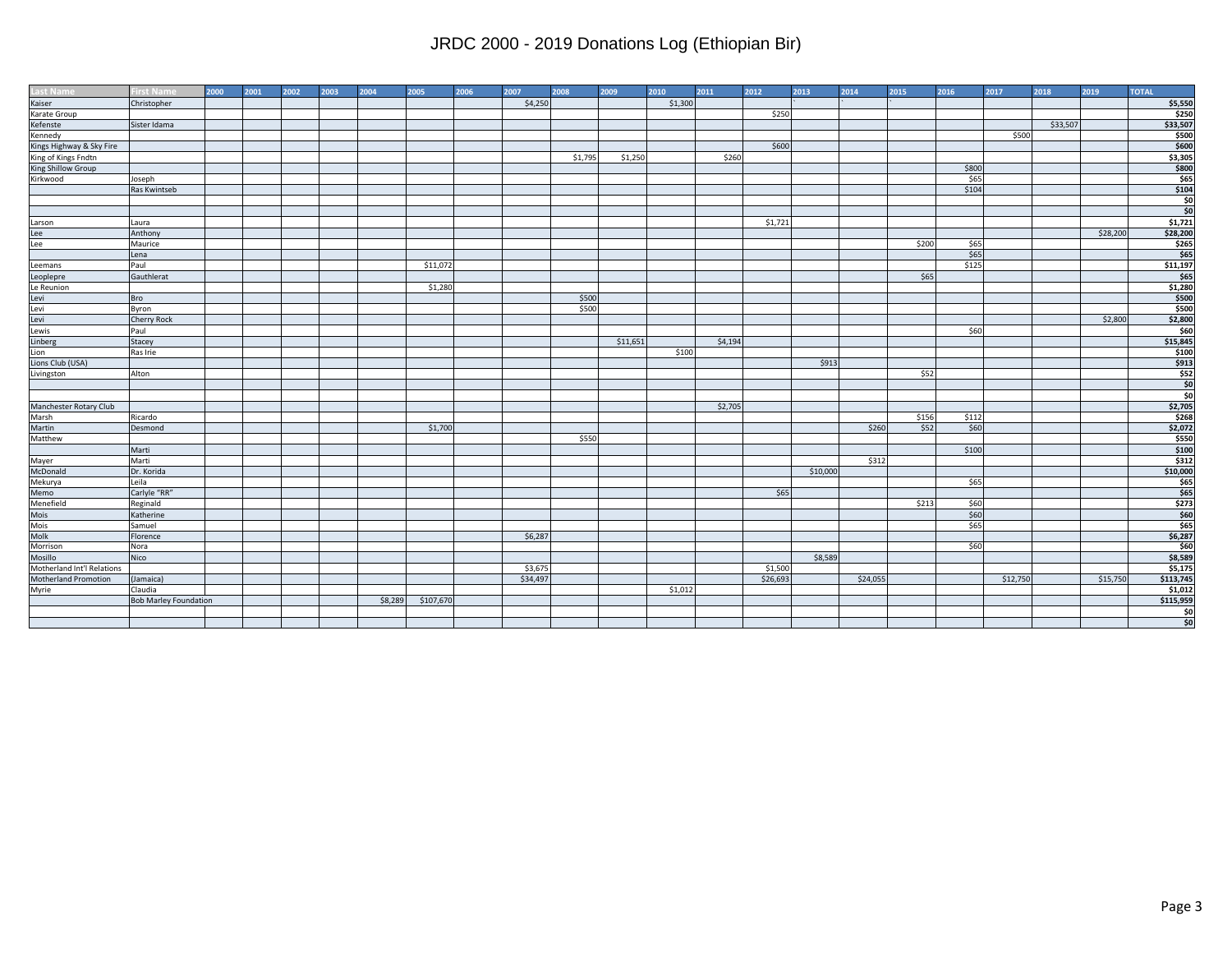| <b>Last Name</b>             | <b>First Name</b>            | 2000 | 2001 | 2002 | 2003 | 2004    | 2005      | 2006 | 2007     | 2008    | 2009     | 2010    | 2011    | 2012     | 2013     | 2014     | 2015  | 2016  | 2017     | 2018     | 2019     | <b>TOTAL</b>  |
|------------------------------|------------------------------|------|------|------|------|---------|-----------|------|----------|---------|----------|---------|---------|----------|----------|----------|-------|-------|----------|----------|----------|---------------|
| Kaiser                       | Christopher                  |      |      |      |      |         |           |      | \$4,250  |         |          | \$1,300 |         |          |          |          |       |       |          |          |          | \$5,550       |
| Karate Group                 |                              |      |      |      |      |         |           |      |          |         |          |         |         | \$250    |          |          |       |       |          |          |          | \$250         |
| Kefenste                     | Sister Idama                 |      |      |      |      |         |           |      |          |         |          |         |         |          |          |          |       |       |          | \$33,507 |          | \$33,507      |
| Kennedy                      |                              |      |      |      |      |         |           |      |          |         |          |         |         |          |          |          |       |       | \$500    |          |          | \$500         |
| Kings Highway & Sky Fire     |                              |      |      |      |      |         |           |      |          |         |          |         |         | \$600    |          |          |       |       |          |          |          | \$600         |
| King of Kings Fndtn          |                              |      |      |      |      |         |           |      |          | \$1,795 | \$1,250  |         | \$260   |          |          |          |       |       |          |          |          | \$3,305       |
| King Shillow Group           |                              |      |      |      |      |         |           |      |          |         |          |         |         |          |          |          |       | \$800 |          |          |          | \$800         |
| Kirkwood                     | Joseph                       |      |      |      |      |         |           |      |          |         |          |         |         |          |          |          |       | \$65  |          |          |          | \$65          |
|                              | Ras Kwintseb                 |      |      |      |      |         |           |      |          |         |          |         |         |          |          |          |       | \$104 |          |          |          | \$104         |
|                              |                              |      |      |      |      |         |           |      |          |         |          |         |         |          |          |          |       |       |          |          |          | şo            |
|                              |                              |      |      |      |      |         |           |      |          |         |          |         |         |          |          |          |       |       |          |          |          | \$0           |
| Larson                       | Laura                        |      |      |      |      |         |           |      |          |         |          |         |         | \$1,721  |          |          |       |       |          |          |          | \$1,721       |
|                              | Anthony                      |      |      |      |      |         |           |      |          |         |          |         |         |          |          |          |       |       |          |          | \$28,200 | \$28,200      |
| Lee<br>Lee                   | Maurice                      |      |      |      |      |         |           |      |          |         |          |         |         |          |          |          | \$200 | \$65  |          |          |          | \$265         |
|                              | Lena                         |      |      |      |      |         |           |      |          |         |          |         |         |          |          |          |       | \$65  |          |          |          | \$65          |
| Leemans                      | Paul                         |      |      |      |      |         | \$11,072  |      |          |         |          |         |         |          |          |          |       | \$125 |          |          |          | \$11,197      |
| Leoplepre                    | Gauthlerat                   |      |      |      |      |         |           |      |          |         |          |         |         |          |          |          | \$65  |       |          |          |          | \$65          |
| Le Reunion                   |                              |      |      |      |      |         | \$1,280   |      |          |         |          |         |         |          |          |          |       |       |          |          |          | \$1,280       |
| Levi<br>Levi<br>Levi         | Bro                          |      |      |      |      |         |           |      |          | \$500   |          |         |         |          |          |          |       |       |          |          |          | \$500         |
|                              | Byron                        |      |      |      |      |         |           |      |          | \$500   |          |         |         |          |          |          |       |       |          |          |          | \$500         |
|                              | Cherry Rock                  |      |      |      |      |         |           |      |          |         |          |         |         |          |          |          |       |       |          |          | \$2,800  | \$2,800       |
| Lewis                        | Paul                         |      |      |      |      |         |           |      |          |         |          |         |         |          |          |          |       | \$60  |          |          |          | \$60          |
| Linberg                      | Stacey                       |      |      |      |      |         |           |      |          |         | \$11,651 |         | \$4,194 |          |          |          |       |       |          |          |          | \$15,845      |
| Lion                         | Ras Irie                     |      |      |      |      |         |           |      |          |         |          | \$100   |         |          |          |          |       |       |          |          |          | \$100         |
| Lions Club (USA)             |                              |      |      |      |      |         |           |      |          |         |          |         |         |          | \$913    |          |       |       |          |          |          | \$913         |
| Livingston                   | Alton                        |      |      |      |      |         |           |      |          |         |          |         |         |          |          |          | \$52  |       |          |          |          | \$52          |
|                              |                              |      |      |      |      |         |           |      |          |         |          |         |         |          |          |          |       |       |          |          |          | \$0           |
|                              |                              |      |      |      |      |         |           |      |          |         |          |         |         |          |          |          |       |       |          |          |          | \$0           |
| Manchester Rotary Club       |                              |      |      |      |      |         |           |      |          |         |          |         | \$2,705 |          |          |          |       |       |          |          |          | \$2,705       |
| Marsh                        | Ricardo                      |      |      |      |      |         |           |      |          |         |          |         |         |          |          |          | \$156 | \$112 |          |          |          | \$268         |
| Martin                       | Desmond                      |      |      |      |      |         | \$1,700   |      |          |         |          |         |         |          |          | \$260    | \$52  | \$60  |          |          |          | \$2,072       |
| Matthew                      |                              |      |      |      |      |         |           |      |          | \$550   |          |         |         |          |          |          |       |       |          |          |          | \$550         |
|                              | Marti                        |      |      |      |      |         |           |      |          |         |          |         |         |          |          |          |       | \$100 |          |          |          | \$100         |
| Mayer<br>McDonald            | Marti                        |      |      |      |      |         |           |      |          |         |          |         |         |          |          | \$312    |       |       |          |          |          | \$312         |
|                              | Dr. Korida                   |      |      |      |      |         |           |      |          |         |          |         |         |          | \$10,000 |          |       |       |          |          |          | \$10,000      |
| Mekurya<br>Memo<br>Menefield | Leila                        |      |      |      |      |         |           |      |          |         |          |         |         |          |          |          |       | \$65  |          |          |          | \$65          |
|                              | Carlyle "RR"                 |      |      |      |      |         |           |      |          |         |          |         |         | \$65     |          |          |       |       |          |          |          | \$65          |
|                              | Reginald                     |      |      |      |      |         |           |      |          |         |          |         |         |          |          |          | \$213 | \$60  |          |          |          | \$273         |
| Mois                         | Katherine                    |      |      |      |      |         |           |      |          |         |          |         |         |          |          |          |       | \$60  |          |          |          | \$60          |
| Mois<br>Molk<br>Morrison     | Samuel                       |      |      |      |      |         |           |      |          |         |          |         |         |          |          |          |       | \$65  |          |          |          | \$65          |
|                              | Florence                     |      |      |      |      |         |           |      | \$6,287  |         |          |         |         |          |          |          |       |       |          |          |          | \$6,287       |
|                              | Nora                         |      |      |      |      |         |           |      |          |         |          |         |         |          |          |          |       | \$60  |          |          |          | \$60          |
| Mosillo                      | Nico                         |      |      |      |      |         |           |      |          |         |          |         |         |          | \$8,589  |          |       |       |          |          |          | \$8,589       |
| Motherland Int'l Relations   |                              |      |      |      |      |         |           |      | \$3,675  |         |          |         |         | \$1,500  |          |          |       |       |          |          |          | \$5,175       |
| Motherland Promotion         | (Jamaica)                    |      |      |      |      |         |           |      | \$34,497 |         |          |         |         | \$26,693 |          | \$24,055 |       |       | \$12,750 |          | \$15,750 | \$113,745     |
| Myrie                        | Claudia                      |      |      |      |      |         |           |      |          |         |          | \$1,012 |         |          |          |          |       |       |          |          |          | \$1,012       |
|                              | <b>Bob Marley Foundation</b> |      |      |      |      | \$8,289 | \$107,670 |      |          |         |          |         |         |          |          |          |       |       |          |          |          | \$115,959     |
|                              |                              |      |      |      |      |         |           |      |          |         |          |         |         |          |          |          |       |       |          |          |          | \$0           |
|                              |                              |      |      |      |      |         |           |      |          |         |          |         |         |          |          |          |       |       |          |          |          | $\frac{1}{2}$ |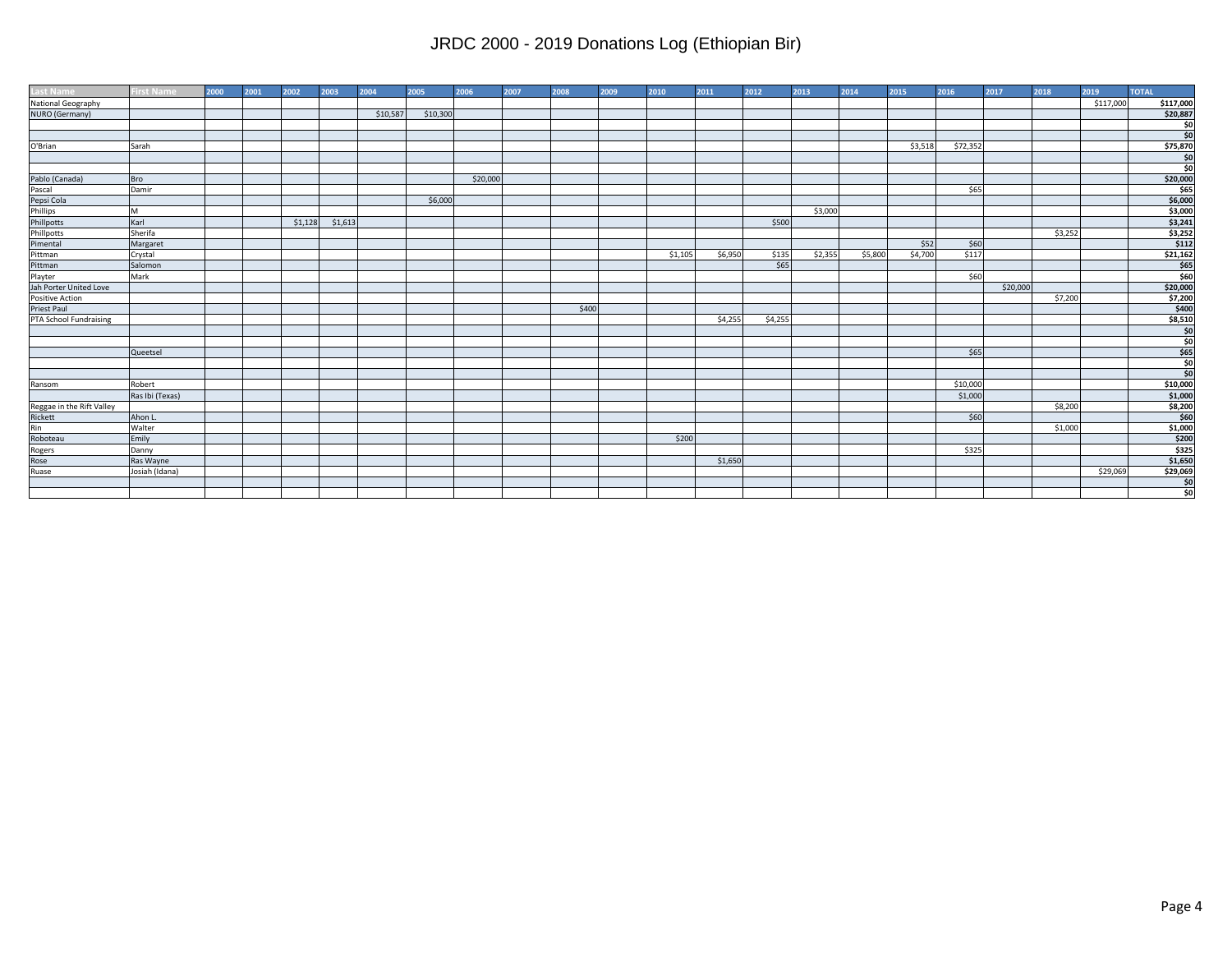| <b>Last Name</b>                                                                           | <b>First Name</b> | 2000 | 2001 | 2002    | 2003    | 2004     | 2005     | 2006     | 2007 | 2008  | 2009 | 2010    | 2011    | 2012    | 2013    | 2014    | 2015    | 2016     | 2017     | 2018    | 2019      | <b>TOTAL</b>   |
|--------------------------------------------------------------------------------------------|-------------------|------|------|---------|---------|----------|----------|----------|------|-------|------|---------|---------|---------|---------|---------|---------|----------|----------|---------|-----------|----------------|
| National Geography                                                                         |                   |      |      |         |         |          |          |          |      |       |      |         |         |         |         |         |         |          |          |         | \$117,000 | \$117,000      |
| NURO (Germany)                                                                             |                   |      |      |         |         | \$10,587 | \$10,300 |          |      |       |      |         |         |         |         |         |         |          |          |         |           | \$20,887       |
|                                                                                            |                   |      |      |         |         |          |          |          |      |       |      |         |         |         |         |         |         |          |          |         |           | şo             |
|                                                                                            |                   |      |      |         |         |          |          |          |      |       |      |         |         |         |         |         |         |          |          |         |           | $\frac{1}{50}$ |
| O'Brian                                                                                    | Sarah             |      |      |         |         |          |          |          |      |       |      |         |         |         |         |         | \$3,518 | \$72,352 |          |         |           | \$75,870       |
|                                                                                            |                   |      |      |         |         |          |          |          |      |       |      |         |         |         |         |         |         |          |          |         |           | \$0            |
|                                                                                            |                   |      |      |         |         |          |          |          |      |       |      |         |         |         |         |         |         |          |          |         |           | \$0            |
|                                                                                            | <b>Bro</b>        |      |      |         |         |          |          | \$20,000 |      |       |      |         |         |         |         |         |         |          |          |         |           | \$20,000       |
|                                                                                            | Damir             |      |      |         |         |          |          |          |      |       |      |         |         |         |         |         |         | \$65     |          |         |           | \$65           |
|                                                                                            |                   |      |      |         |         |          | \$6,000  |          |      |       |      |         |         |         |         |         |         |          |          |         |           | \$6,000        |
|                                                                                            | M                 |      |      |         |         |          |          |          |      |       |      |         |         |         | \$3,000 |         |         |          |          |         |           | \$3,000        |
| Pablo (Canada)<br>Pascal<br>Pepsi Cola<br>Phillips<br>Phillpotts<br>Phillpotts<br>Pimental | Karl              |      |      | \$1,128 | \$1,613 |          |          |          |      |       |      |         |         | \$500   |         |         |         |          |          |         |           | \$3,241        |
|                                                                                            | Sherifa           |      |      |         |         |          |          |          |      |       |      |         |         |         |         |         |         |          |          | \$3,252 |           | \$3,252        |
|                                                                                            | Margaret          |      |      |         |         |          |          |          |      |       |      |         |         |         |         |         | \$52    | \$60     |          |         |           | \$112          |
| Pittman                                                                                    | Crystal           |      |      |         |         |          |          |          |      |       |      | \$1,105 | \$6,950 | \$135   | \$2,355 | \$5,800 | \$4,700 | \$117    |          |         |           | \$21,162       |
| Pittman                                                                                    | Salomon           |      |      |         |         |          |          |          |      |       |      |         |         | \$65    |         |         |         |          |          |         |           | \$65           |
| Playter                                                                                    | Mark              |      |      |         |         |          |          |          |      |       |      |         |         |         |         |         |         | \$60     |          |         |           | \$60           |
| Jah Porter United Love                                                                     |                   |      |      |         |         |          |          |          |      |       |      |         |         |         |         |         |         |          | \$20,000 |         |           | \$20,000       |
| Positive Action                                                                            |                   |      |      |         |         |          |          |          |      |       |      |         |         |         |         |         |         |          |          | \$7,200 |           | \$7,200        |
| <b>Priest Paul</b>                                                                         |                   |      |      |         |         |          |          |          |      | \$400 |      |         |         |         |         |         |         |          |          |         |           | \$400          |
| PTA School Fundraising                                                                     |                   |      |      |         |         |          |          |          |      |       |      |         | \$4,255 | \$4,255 |         |         |         |          |          |         |           | \$8,510        |
|                                                                                            |                   |      |      |         |         |          |          |          |      |       |      |         |         |         |         |         |         |          |          |         |           | $\frac{1}{2}$  |
|                                                                                            |                   |      |      |         |         |          |          |          |      |       |      |         |         |         |         |         |         |          |          |         |           | \$0            |
|                                                                                            | Queetsel          |      |      |         |         |          |          |          |      |       |      |         |         |         |         |         |         | \$65     |          |         |           | \$65           |
|                                                                                            |                   |      |      |         |         |          |          |          |      |       |      |         |         |         |         |         |         |          |          |         |           | \$0            |
|                                                                                            |                   |      |      |         |         |          |          |          |      |       |      |         |         |         |         |         |         |          |          |         |           | \$0            |
| Ransom                                                                                     | Robert            |      |      |         |         |          |          |          |      |       |      |         |         |         |         |         |         | \$10,000 |          |         |           | \$10,000       |
|                                                                                            | Ras Ibi (Texas)   |      |      |         |         |          |          |          |      |       |      |         |         |         |         |         |         | \$1,000  |          |         |           | \$1,000        |
|                                                                                            |                   |      |      |         |         |          |          |          |      |       |      |         |         |         |         |         |         |          |          | \$8,200 |           | \$8,200        |
|                                                                                            | Ahon L.           |      |      |         |         |          |          |          |      |       |      |         |         |         |         |         |         | \$60     |          |         |           | \$60           |
|                                                                                            | Walter            |      |      |         |         |          |          |          |      |       |      |         |         |         |         |         |         |          |          | \$1,000 |           | \$1,000        |
|                                                                                            | Emily             |      |      |         |         |          |          |          |      |       |      | \$200   |         |         |         |         |         |          |          |         |           | \$200          |
|                                                                                            | Danny             |      |      |         |         |          |          |          |      |       |      |         |         |         |         |         |         | \$325    |          |         |           | \$325          |
| Reggae in the Rift Valley<br>Rickett<br>Rin<br>Roboteau<br>Rogers<br>Rose<br>Ruase         | Ras Wayne         |      |      |         |         |          |          |          |      |       |      |         | \$1,650 |         |         |         |         |          |          |         |           | \$1,650        |
|                                                                                            | Josiah (Idana)    |      |      |         |         |          |          |          |      |       |      |         |         |         |         |         |         |          |          |         | \$29,069  | \$29,069       |
|                                                                                            |                   |      |      |         |         |          |          |          |      |       |      |         |         |         |         |         |         |          |          |         |           | \$0            |
|                                                                                            |                   |      |      |         |         |          |          |          |      |       |      |         |         |         |         |         |         |          |          |         |           | \$0            |